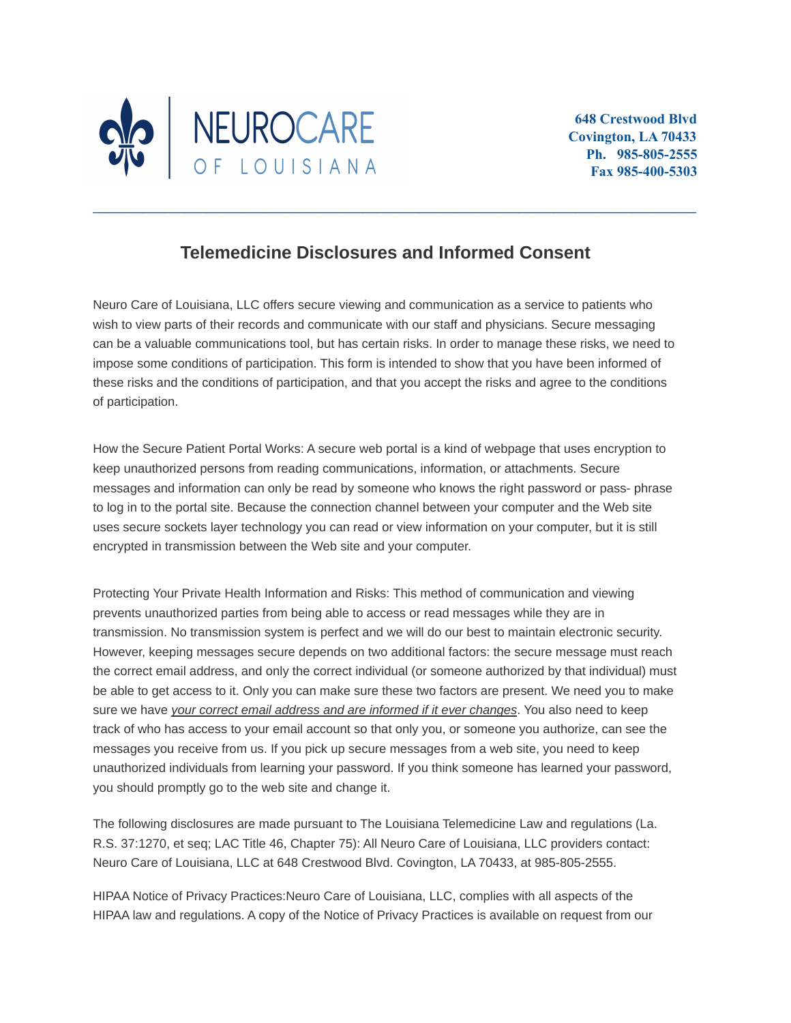

## **Telemedicine Disclosures and Informed Consent**

**\_\_\_\_\_\_\_\_\_\_\_\_\_\_\_\_\_\_\_\_\_\_\_\_\_\_\_\_\_\_\_\_\_\_\_\_\_\_\_\_\_\_\_\_\_\_\_\_\_\_\_\_\_\_\_\_\_\_\_\_\_\_\_\_\_\_\_\_\_\_\_\_\_\_\_\_\_\_\_\_\_\_\_\_\_**

Neuro Care of Louisiana, LLC offers secure viewing and communication as a service to patients who wish to view parts of their records and communicate with our staff and physicians. Secure messaging can be a valuable communications tool, but has certain risks. In order to manage these risks, we need to impose some conditions of participation. This form is intended to show that you have been informed of these risks and the conditions of participation, and that you accept the risks and agree to the conditions of participation.

How the Secure Patient Portal Works: A secure web portal is a kind of webpage that uses encryption to keep unauthorized persons from reading communications, information, or attachments. Secure messages and information can only be read by someone who knows the right password or pass- phrase to log in to the portal site. Because the connection channel between your computer and the Web site uses secure sockets layer technology you can read or view information on your computer, but it is still encrypted in transmission between the Web site and your computer.

Protecting Your Private Health Information and Risks: This method of communication and viewing prevents unauthorized parties from being able to access or read messages while they are in transmission. No transmission system is perfect and we will do our best to maintain electronic security. However, keeping messages secure depends on two additional factors: the secure message must reach the correct email address, and only the correct individual (or someone authorized by that individual) must be able to get access to it. Only you can make sure these two factors are present. We need you to make sure we have *your correct email address and are informed if it ever changes*. You also need to keep track of who has access to your email account so that only you, or someone you authorize, can see the messages you receive from us. If you pick up secure messages from a web site, you need to keep unauthorized individuals from learning your password. If you think someone has learned your password, you should promptly go to the web site and change it.

The following disclosures are made pursuant to The Louisiana Telemedicine Law and regulations (La. R.S. 37:1270, et seq; LAC Title 46, Chapter 75): All Neuro Care of Louisiana, LLC providers contact: Neuro Care of Louisiana, LLC at 648 Crestwood Blvd. Covington, LA 70433, at 985-805-2555.

HIPAA Notice of Privacy Practices:Neuro Care of Louisiana, LLC, complies with all aspects of the HIPAA law and regulations. A copy of the Notice of Privacy Practices is available on request from our